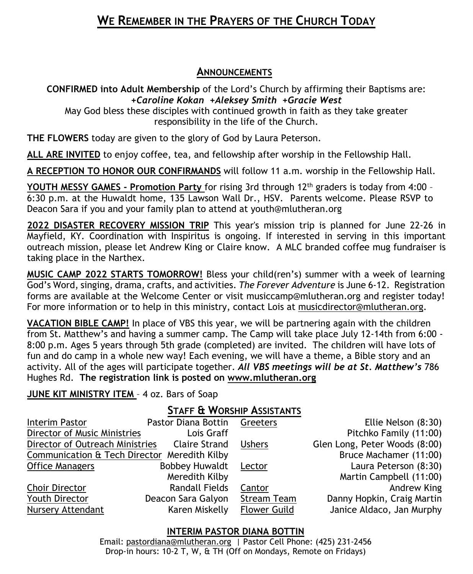# **WE REMEMBER IN THE PRAYERS OF THE CHURCH TODAY**

#### **ANNOUNCEMENTS**

**CONFIRMED into Adult Membership** of the Lord's Church by affirming their Baptisms are: *+Caroline Kokan +Aleksey Smith +Gracie West*

May God bless these disciples with continued growth in faith as they take greater responsibility in the life of the Church.

**THE FLOWERS** today are given to the glory of God by Laura Peterson.

**ALL ARE INVITED** to enjoy coffee, tea, and fellowship after worship in the Fellowship Hall.

**A RECEPTION TO HONOR OUR CONFIRMANDS** will follow 11 a.m. worship in the Fellowship Hall.

**YOUTH MESSY GAMES - Promotion Party** for rising 3rd through 12th graders is today from 4:00 – 6:30 p.m. at the Huwaldt home, 135 Lawson Wall Dr., HSV. Parents welcome. Please RSVP to Deacon Sara if you and your family plan to attend at youth@mlutheran.org

**2022 DISASTER RECOVERY MISSION TRIP** This year's mission trip is planned for June 22-26 in Mayfield, KY. Coordination with Inspiritus is ongoing. If interested in serving in this important outreach mission, please let Andrew King or Claire know. A MLC branded coffee mug fundraiser is taking place in the Narthex.

**MUSIC CAMP 2022 STARTS TOMORROW!** Bless your child(ren's) summer with a week of learning God's Word, singing, drama, crafts, and activities. *The Forever Adventure* is June 6-12. Registration forms are available at the Welcome Center or visit [musiccamp@mlutheran.org](mailto:musiccamp@mlutheran.org) and register today! For more information or to help in this ministry, contact Lois at [musicdirector@mlutheran.org.](mailto:musicdirector@mlutheran.org)

**VACATION BIBLE CAMP!** In place of VBS this year, we will be partnering again with the children from St. Matthew's and having a summer camp. The Camp will take place July 12-14th from 6:00 - 8:00 p.m. Ages 5 years through 5th grade (completed) are invited. The children will have lots of fun and do camp in a whole new way! Each evening, we will have a theme, a Bible story and an activity. All of the ages will participate together. *All VBS meetings will be at St. Matthew's* 786 Hughes Rd. **The registration link is posted on [www.mlutheran.org](http://www.mlutheran.org/)** 

### **JUNE KIT MINISTRY ITEM** – 4 oz. Bars of Soap

## **STAFF & WORSHIP ASSISTANTS**

| Interim Pastor                               | Pastor Diana Bottin Greeters |                     | Ellie Nelson (8:30)           |
|----------------------------------------------|------------------------------|---------------------|-------------------------------|
| Director of Music Ministries                 | Lois Graff                   |                     | Pitchko Family (11:00)        |
| Director of Outreach Ministries              | <b>Claire Strand</b>         | <b>Ushers</b>       | Glen Long, Peter Woods (8:00) |
| Communication & Tech Director Meredith Kilby |                              |                     | Bruce Machamer (11:00)        |
| <b>Office Managers</b>                       | <b>Bobbey Huwaldt</b>        | Lector              | Laura Peterson (8:30)         |
|                                              | Meredith Kilby               |                     | Martin Campbell (11:00)       |
| Choir Director                               | <b>Randall Fields</b>        | Cantor              | Andrew King                   |
| Youth Director                               | Deacon Sara Galyon           | <b>Stream Team</b>  | Danny Hopkin, Craig Martin    |
| <b>Nursery Attendant</b>                     | Karen Miskelly               | <b>Flower Guild</b> | Janice Aldaco, Jan Murphy     |

### **INTERIM PASTOR DIANA BOTTIN**